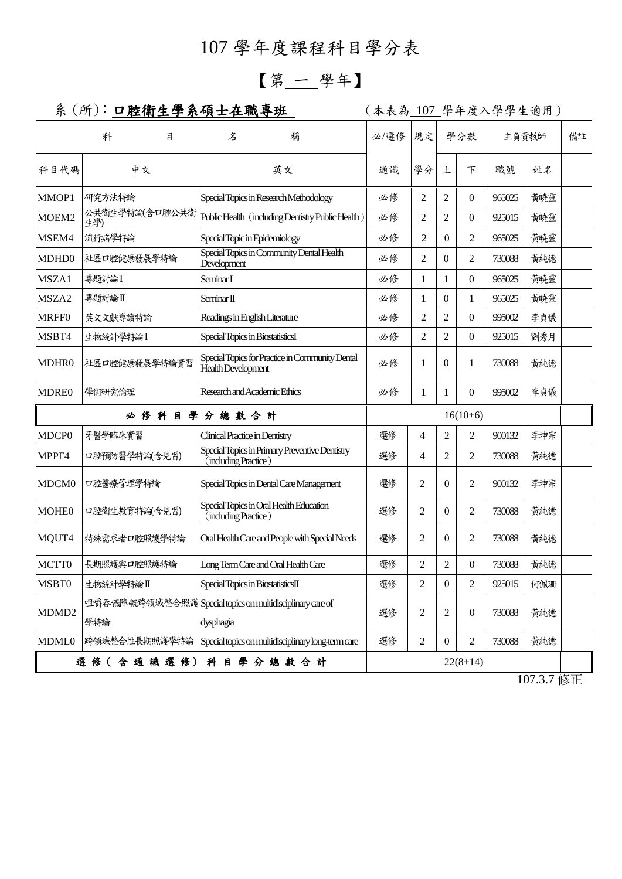# 107 學年度課程科目學分表

# 【第 一 學年】

## 系 (所): 口腔衛生學系碩士在職專班 | (本表為 107 學年度入學學生適用)

|                                               | 科                                                                | 目 | 名                                                        | 稱                                               |    | 必/選修 | 規定             | 學分數            |                  | 主負責教師  |       | 備註 |
|-----------------------------------------------|------------------------------------------------------------------|---|----------------------------------------------------------|-------------------------------------------------|----|------|----------------|----------------|------------------|--------|-------|----|
| 科目代碼                                          | 中文                                                               |   |                                                          | 英文                                              |    | 通識   | 學分             | 上              | $\top$           | 職號     | 姓名    |    |
| MMOP1                                         | 研究方法特論                                                           |   |                                                          | Special Topics in Research Methodology          |    | 必修   | 2              | 2              | $\overline{0}$   | 965025 | 黃曉靈   |    |
| MOEM2                                         | 公共衛生學特論(含口腔公共衛<br>生學)                                            |   | Public Health (including Dentistry Public Health)        |                                                 | 必修 | 2    | 2              | $\overline{0}$ | 925015           | 黃曉靈    |       |    |
| MSEM4                                         | 流行病學特論                                                           |   | Special Topic in Epidemiology                            |                                                 | 必修 | 2    | $\overline{0}$ | $\overline{2}$ | 965025           | 黃曉靈    |       |    |
| MDHD0                                         | 社區口腔健康發展學特論                                                      |   | Special Topics in Community Dental Health<br>Development |                                                 | 必修 | 2    | $\theta$       | $\overline{2}$ | 730088           | 黃純德    |       |    |
| MSZA1                                         | 專題討論I                                                            |   | Seminar I                                                |                                                 |    | 必修   | 1              | 1              | $\overline{0}$   | 965025 | 黃曉靈   |    |
| MSZA2                                         | 專題討論Ⅱ                                                            |   | Seminar II                                               |                                                 | 必修 | 1    | $\overline{0}$ | 1              | 965025           | 黃曉靈    |       |    |
| <b>MRFF0</b>                                  | 英文文獻導讀特論                                                         |   |                                                          | Readings in English Literature                  |    | 必修   | $\overline{2}$ | $\overline{c}$ | $\Omega$         | 995002 | 李貞儀   |    |
| MSBT4                                         | 生物統計學特論I                                                         |   | Special Topics in BiostatisticsI                         |                                                 |    | 必修   | 2              | 2              | $\Omega$         | 925015 | 劉秀月   |    |
| MDHR0                                         | 社區口腔健康發展學特論實習                                                    |   | Health Development                                       | Special Topics for Practice in Community Dental |    | 必修   | 1              | $\mathbf{0}$   | 1                | 730088 | 黃純德   |    |
| <b>MDRE0</b>                                  | 學術研究倫理                                                           |   |                                                          | Research and Academic Ethics                    |    | 必修   | 1              | 1              | $\overline{0}$   | 995002 | 李貞儀   |    |
| 必修科目學分總數合計                                    |                                                                  |   |                                                          | $16(10+6)$                                      |    |      |                |                |                  |        |       |    |
| MDCP <sub>0</sub>                             | 牙醫學臨床實習                                                          |   | Clinical Practice in Dentistry                           |                                                 |    | 選修   | 4              | $\overline{2}$ | 2                | 900132 | 李坤宗   |    |
| MPPF4                                         | 口腔預防醫學特論(含見習)                                                    |   | (including Practice)                                     | Special Topics in Primary Preventive Dentistry  |    | 選修   | 4              | $\overline{2}$ | 2                | 730088 | 黃純德   |    |
| MDCM <sub>0</sub>                             | 口腔醫療管理學特論                                                        |   |                                                          | Special Topics in Dental Care Management        |    | 選修   | $\overline{c}$ | $\mathbf{0}$   | 2                | 900132 | 李坤宗   |    |
| <b>MOHE0</b>                                  | 口腔衛生教育特論(含見習)                                                    |   | (including Practice)                                     | Special Topics in Oral Health Education         |    | 選修   | 2              | $\Omega$       | $\overline{2}$   | 730088 | 黃純德   |    |
| MQUT4                                         | 特殊需求者口腔照護學特論                                                     |   |                                                          | Oral Health Care and People with Special Needs  |    | 選修   | 2              | $\overline{0}$ | 2                | 730088 | 黃純德   |    |
| MCTT0                                         | 長期照護與口腔照護特論                                                      |   |                                                          | Long Term Care and Oral Health Care             |    | 選修   | 2              | $\overline{2}$ | $\Omega$         | 730088 | 黃純德   |    |
| MSBT0                                         | 生物統計學特論Ⅱ                                                         |   |                                                          | Special Topics in BiostatisticsII               |    | 選修   | $\overline{2}$ | 0              | 2                | 925015 | 何佩珊   |    |
| MDMD <sub>2</sub>                             | 咀嚼吞嚥障礙跨領域整合照護 Special topics on multidisciplinary care of<br>學特論 |   | dysphagia                                                |                                                 |    | 選修   | 2              | $\overline{c}$ | $\boldsymbol{0}$ | 730088 | 黃純德   |    |
| <b>MDML0</b>                                  | 跨領域整合性長期照護學特論 Special topics on multidisciplinary long-term care |   |                                                          |                                                 |    | 選修   | 2              | $\mathbf{0}$   | 2                | 730088 | 黃純德   |    |
| 選 修 (含 通 識 選 修) 科 目 學 分 總 數 合 計<br>$22(8+14)$ |                                                                  |   |                                                          |                                                 |    |      |                |                |                  |        |       |    |
|                                               |                                                                  |   |                                                          |                                                 |    |      |                |                |                  |        | 10727 |    |

107.3.7 修正